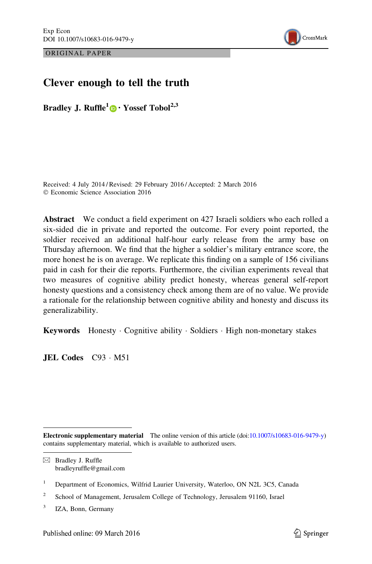ORIGINAL PAPER



# Clever enough to tell the truth

Bradley J. Ruffle<sup>1</sup> • Yossef Tobol<sup>2,3</sup>

Received: 4 July 2014 / Revised: 29 February 2016 / Accepted: 2 March 2016 © Economic Science Association 2016

Abstract We conduct a field experiment on 427 Israeli soldiers who each rolled a six-sided die in private and reported the outcome. For every point reported, the soldier received an additional half-hour early release from the army base on Thursday afternoon. We find that the higher a soldier's military entrance score, the more honest he is on average. We replicate this finding on a sample of 156 civilians paid in cash for their die reports. Furthermore, the civilian experiments reveal that two measures of cognitive ability predict honesty, whereas general self-report honesty questions and a consistency check among them are of no value. We provide a rationale for the relationship between cognitive ability and honesty and discuss its generalizability.

Keywords Honesty · Cognitive ability · Soldiers · High non-monetary stakes

JEL Codes C93 - M51

**Electronic supplementary material** The online version of this article (doi:[10.1007/s10683-016-9479-y\)](http://dx.doi.org/10.1007/s10683-016-9479-y) contains supplementary material, which is available to authorized users.

 $\boxtimes$  Bradley J. Ruffle bradleyruffle@gmail.com

<sup>&</sup>lt;sup>1</sup> Department of Economics, Wilfrid Laurier University, Waterloo, ON N2L 3C5, Canada

<sup>&</sup>lt;sup>2</sup> School of Management, Jerusalem College of Technology, Jerusalem 91160, Israel

<sup>&</sup>lt;sup>3</sup> IZA, Bonn, Germany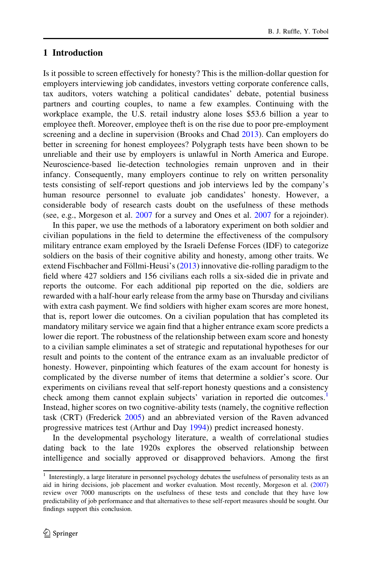## 1 Introduction

Is it possible to screen effectively for honesty? This is the million-dollar question for employers interviewing job candidates, investors vetting corporate conference calls, tax auditors, voters watching a political candidates' debate, potential business partners and courting couples, to name a few examples. Continuing with the workplace example, the U.S. retail industry alone loses \$53.6 billion a year to employee theft. Moreover, employee theft is on the rise due to poor pre-employment screening and a decline in supervision (Brooks and Chad [2013\)](#page-24-0). Can employers do better in screening for honest employees? Polygraph tests have been shown to be unreliable and their use by employers is unlawful in North America and Europe. Neuroscience-based lie-detection technologies remain unproven and in their infancy. Consequently, many employers continue to rely on written personality tests consisting of self-report questions and job interviews led by the company's human resource personnel to evaluate job candidates' honesty. However, a considerable body of research casts doubt on the usefulness of these methods (see, e.g., Morgeson et al. [2007](#page-25-0) for a survey and Ones et al. [2007](#page-25-0) for a rejoinder).

In this paper, we use the methods of a laboratory experiment on both soldier and civilian populations in the field to determine the effectiveness of the compulsory military entrance exam employed by the Israeli Defense Forces (IDF) to categorize soldiers on the basis of their cognitive ability and honesty, among other traits. We extend Fischbacher and Föllmi-Heusi's  $(2013)$  $(2013)$  innovative die-rolling paradigm to the field where 427 soldiers and 156 civilians each rolls a six-sided die in private and reports the outcome. For each additional pip reported on the die, soldiers are rewarded with a half-hour early release from the army base on Thursday and civilians with extra cash payment. We find soldiers with higher exam scores are more honest, that is, report lower die outcomes. On a civilian population that has completed its mandatory military service we again find that a higher entrance exam score predicts a lower die report. The robustness of the relationship between exam score and honesty to a civilian sample eliminates a set of strategic and reputational hypotheses for our result and points to the content of the entrance exam as an invaluable predictor of honesty. However, pinpointing which features of the exam account for honesty is complicated by the diverse number of items that determine a soldier's score. Our experiments on civilians reveal that self-report honesty questions and a consistency check among them cannot explain subjects' variation in reported die outcomes.<sup>1</sup> Instead, higher scores on two cognitive-ability tests (namely, the cognitive reflection task (CRT) (Frederick [2005](#page-24-0)) and an abbreviated version of the Raven advanced progressive matrices test (Arthur and Day [1994\)](#page-24-0)) predict increased honesty.

In the developmental psychology literature, a wealth of correlational studies dating back to the late 1920s explores the observed relationship between intelligence and socially approved or disapproved behaviors. Among the first

<sup>&</sup>lt;sup>1</sup> Interestingly, a large literature in personnel psychology debates the usefulness of personality tests as an aid in hiring decisions, job placement and worker evaluation. Most recently, Morgeson et al. ([2007\)](#page-25-0) review over 7000 manuscripts on the usefulness of these tests and conclude that they have low predictability of job performance and that alternatives to these self-report measures should be sought. Our findings support this conclusion.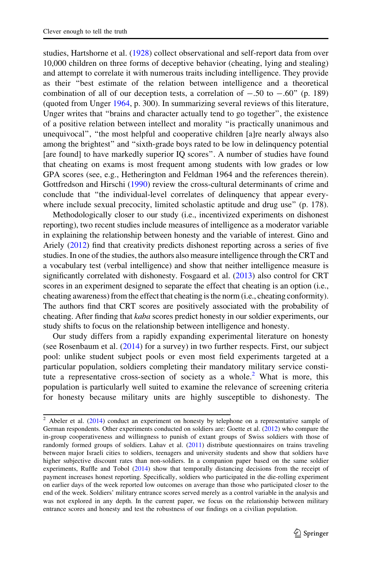studies, Hartshorne et al. [\(1928](#page-24-0)) collect observational and self-report data from over 10,000 children on three forms of deceptive behavior (cheating, lying and stealing) and attempt to correlate it with numerous traits including intelligence. They provide as their ''best estimate of the relation between intelligence and a theoretical combination of all of our deception tests, a correlation of  $-.50$  to  $-.60$ " (p. 189) (quoted from Unger [1964](#page-25-0), p. 300). In summarizing several reviews of this literature, Unger writes that ''brains and character actually tend to go together'', the existence of a positive relation between intellect and morality ''is practically unanimous and unequivocal'', ''the most helpful and cooperative children [a]re nearly always also among the brightest'' and ''sixth-grade boys rated to be low in delinquency potential [are found] to have markedly superior IQ scores". A number of studies have found that cheating on exams is most frequent among students with low grades or low GPA scores (see, e.g., Hetherington and Feldman 1964 and the references therein). Gottfredson and Hirschi [\(1990](#page-24-0)) review the cross-cultural determinants of crime and conclude that ''the individual-level correlates of delinquency that appear everywhere include sexual precocity, limited scholastic aptitude and drug use" (p. 178).

Methodologically closer to our study (i.e., incentivized experiments on dishonest reporting), two recent studies include measures of intelligence as a moderator variable in explaining the relationship between honesty and the variable of interest. Gino and Ariely ([2012](#page-24-0)) find that creativity predicts dishonest reporting across a series of five studies. In one of the studies, the authors also measure intelligence through the CRT and a vocabulary test (verbal intelligence) and show that neither intelligence measure is significantly correlated with dishonesty. Fosgaard et al. [\(2013](#page-24-0)) also control for CRT scores in an experiment designed to separate the effect that cheating is an option (i.e., cheating awareness) from the effect that cheating is the norm (i.e., cheating conformity). The authors find that CRT scores are positively associated with the probability of cheating. After finding that *kaba* scores predict honesty in our soldier experiments, our study shifts to focus on the relationship between intelligence and honesty.

Our study differs from a rapidly expanding experimental literature on honesty (see Rosenbaum et al. [\(2014](#page-25-0)) for a survey) in two further respects. First, our subject pool: unlike student subject pools or even most field experiments targeted at a particular population, soldiers completing their mandatory military service constitute a representative cross-section of society as a whole.<sup>2</sup> What is more, this population is particularly well suited to examine the relevance of screening criteria for honesty because military units are highly susceptible to dishonesty. The

 $2$  Abeler et al. ([2014](#page-24-0)) conduct an experiment on honesty by telephone on a representative sample of German respondents. Other experiments conducted on soldiers are: Goette et al. [\(2012](#page-24-0)) who compare the in-group cooperativeness and willingness to punish of extant groups of Swiss soldiers with those of randomly formed groups of soldiers. Lahav et al. ([2011\)](#page-25-0) distribute questionnaires on trains traveling between major Israeli cities to soldiers, teenagers and university students and show that soldiers have higher subjective discount rates than non-soldiers. In a companion paper based on the same soldier experiments, Ruffle and Tobol [\(2014\)](#page-25-0) show that temporally distancing decisions from the receipt of payment increases honest reporting. Specifically, soldiers who participated in the die-rolling experiment on earlier days of the week reported low outcomes on average than those who participated closer to the end of the week. Soldiers' military entrance scores served merely as a control variable in the analysis and was not explored in any depth. In the current paper, we focus on the relationship between military entrance scores and honesty and test the robustness of our findings on a civilian population.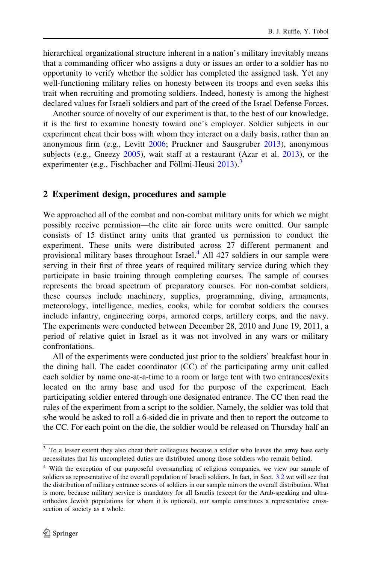hierarchical organizational structure inherent in a nation's military inevitably means that a commanding officer who assigns a duty or issues an order to a soldier has no opportunity to verify whether the soldier has completed the assigned task. Yet any well-functioning military relies on honesty between its troops and even seeks this trait when recruiting and promoting soldiers. Indeed, honesty is among the highest declared values for Israeli soldiers and part of the creed of the Israel Defense Forces.

Another source of novelty of our experiment is that, to the best of our knowledge, it is the first to examine honesty toward one's employer. Soldier subjects in our experiment cheat their boss with whom they interact on a daily basis, rather than an anonymous firm (e.g., Levitt [2006;](#page-25-0) Pruckner and Sausgruber [2013\)](#page-25-0), anonymous subjects (e.g., Gneezy [2005](#page-24-0)), wait staff at a restaurant (Azar et al. [2013\)](#page-24-0), or the experimenter (e.g., Fischbacher and Föllmi-Heusi  $2013$ ).<sup>3</sup>

### 2 Experiment design, procedures and sample

We approached all of the combat and non-combat military units for which we might possibly receive permission—the elite air force units were omitted. Our sample consists of 15 distinct army units that granted us permission to conduct the experiment. These units were distributed across 27 different permanent and provisional military bases throughout Israel. $^{4}$  All 427 soldiers in our sample were serving in their first of three years of required military service during which they participate in basic training through completing courses. The sample of courses represents the broad spectrum of preparatory courses. For non-combat soldiers, these courses include machinery, supplies, programming, diving, armaments, meteorology, intelligence, medics, cooks, while for combat soldiers the courses include infantry, engineering corps, armored corps, artillery corps, and the navy. The experiments were conducted between December 28, 2010 and June 19, 2011, a period of relative quiet in Israel as it was not involved in any wars or military confrontations.

All of the experiments were conducted just prior to the soldiers' breakfast hour in the dining hall. The cadet coordinator (CC) of the participating army unit called each soldier by name one-at-a-time to a room or large tent with two entrances/exits located on the army base and used for the purpose of the experiment. Each participating soldier entered through one designated entrance. The CC then read the rules of the experiment from a script to the soldier. Namely, the soldier was told that s/he would be asked to roll a 6-sided die in private and then to report the outcome to the CC. For each point on the die, the soldier would be released on Thursday half an

<sup>&</sup>lt;sup>3</sup> To a lesser extent they also cheat their colleagues because a soldier who leaves the army base early necessitates that his uncompleted duties are distributed among those soldiers who remain behind.

<sup>4</sup> With the exception of our purposeful oversampling of religious companies, we view our sample of soldiers as representative of the overall population of Israeli soldiers. In fact, in Sect. [3.2](#page-6-0) we will see that the distribution of military entrance scores of soldiers in our sample mirrors the overall distribution. What is more, because military service is mandatory for all Israelis (except for the Arab-speaking and ultraorthodox Jewish populations for whom it is optional), our sample constitutes a representative crosssection of society as a whole.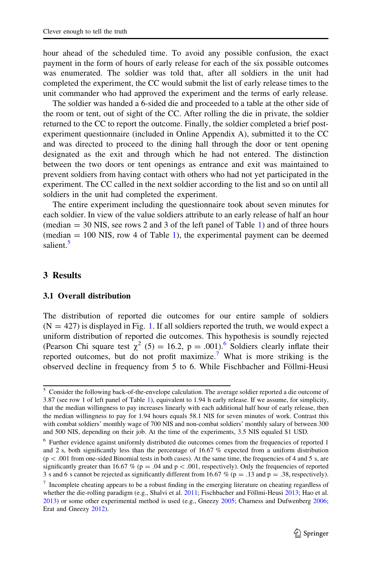<span id="page-4-0"></span>hour ahead of the scheduled time. To avoid any possible confusion, the exact payment in the form of hours of early release for each of the six possible outcomes was enumerated. The soldier was told that, after all soldiers in the unit had completed the experiment, the CC would submit the list of early release times to the unit commander who had approved the experiment and the terms of early release.

The soldier was handed a 6-sided die and proceeded to a table at the other side of the room or tent, out of sight of the CC. After rolling the die in private, the soldier returned to the CC to report the outcome. Finally, the soldier completed a brief postexperiment questionnaire (included in Online Appendix A), submitted it to the CC and was directed to proceed to the dining hall through the door or tent opening designated as the exit and through which he had not entered. The distinction between the two doors or tent openings as entrance and exit was maintained to prevent soldiers from having contact with others who had not yet participated in the experiment. The CC called in the next soldier according to the list and so on until all soldiers in the unit had completed the experiment.

The entire experiment including the questionnaire took about seven minutes for each soldier. In view of the value soldiers attribute to an early release of half an hour (median  $=$  30 NIS, see rows 2 and 3 of the left panel of Table [1\)](#page-5-0) and of three hours (median  $= 100$  NIS, row 4 of Table [1\)](#page-5-0), the experimental payment can be deemed salient.<sup>5</sup>

### 3 Results

### 3.1 Overall distribution

The distribution of reported die outcomes for our entire sample of soldiers  $(N = 427)$  is displayed in Fig. [1](#page-6-0). If all soldiers reported the truth, we would expect a uniform distribution of reported die outcomes. This hypothesis is soundly rejected (Pearson Chi square test  $\chi^2$  (5) = 16.2, p = .001).<sup>6</sup> Soldiers clearly inflate their reported outcomes, but do not profit maximize.<sup>7</sup> What is more striking is the observed decline in frequency from 5 to 6. While Fischbacher and Föllmi-Heusi

<sup>5</sup> Consider the following back-of-the-envelope calculation. The average soldier reported a die outcome of 3.87 (see row 1 of left panel of Table [1](#page-5-0)), equivalent to 1.94 h early release. If we assume, for simplicity, that the median willingness to pay increases linearly with each additional half hour of early release, then the median willingness to pay for 1.94 hours equals 58.1 NIS for seven minutes of work. Contrast this with combat soldiers' monthly wage of 700 NIS and non-combat soldiers' monthly salary of between 300 and 500 NIS, depending on their job. At the time of the experiments, 3.5 NIS equaled \$1 USD.

<sup>6</sup> Further evidence against uniformly distributed die outcomes comes from the frequencies of reported 1 and 2 s, both significantly less than the percentage of 16.67 % expected from a uniform distribution  $(p<.001$  from one-sided Binomial tests in both cases). At the same time, the frequencies of 4 and 5 s, are significantly greater than 16.67 % ( $p = .04$  and  $p \lt .001$ , respectively). Only the frequencies of reported 3 s and 6 s cannot be rejected as significantly different from 16.67 % ( $p = .13$  and  $p = .38$ , respectively).

 $<sup>7</sup>$  Incomplete cheating appears to be a robust finding in the emerging literature on cheating regardless of</sup> whether the die-rolling paradigm (e.g., Shalvi et al. [2011;](#page-25-0) Fischbacher and Föllmi-Heusi [2013;](#page-24-0) Hao et al. [2013\)](#page-24-0) or some other experimental method is used (e.g., Gneezy [2005](#page-24-0); Charness and Dufwenberg [2006](#page-24-0); Erat and Gneezy [2012](#page-24-0)).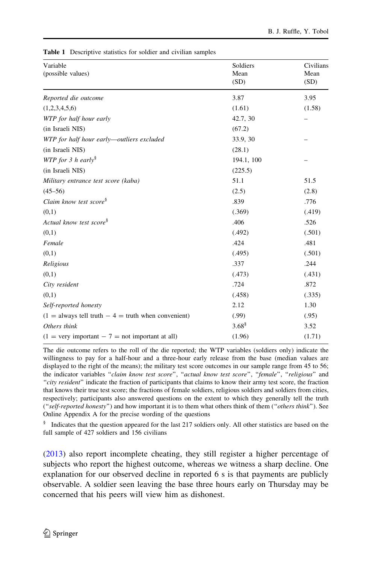| Variable<br>(possible values)                                   | Soldiers<br>Mean<br>(SD) | Civilians<br>Mean<br>(SD) |  |
|-----------------------------------------------------------------|--------------------------|---------------------------|--|
|                                                                 |                          |                           |  |
| Reported die outcome                                            | 3.87                     | 3.95                      |  |
| (1,2,3,4,5,6)                                                   | (1.61)                   | (1.58)                    |  |
| WTP for half hour early                                         | 42.7, 30                 |                           |  |
| (in Israeli NIS)                                                | (67.2)                   |                           |  |
| WTP for half hour early-outliers excluded                       | 33.9, 30                 |                           |  |
| (in Israeli NIS)                                                | (28.1)                   |                           |  |
| WTP for 3 h early <sup>§</sup>                                  | 194.1, 100               |                           |  |
| (in Israeli NIS)                                                | (225.5)                  |                           |  |
| Military entrance test score (kaba)                             | 51.1                     | 51.5                      |  |
| $(45 - 56)$                                                     | (2.5)                    | (2.8)                     |  |
| Claim know test score <sup>§</sup>                              | .839                     | .776                      |  |
| (0,1)                                                           | (.369)                   | (.419)                    |  |
| Actual know test score <sup>§</sup>                             | .406                     | .526                      |  |
| (0,1)                                                           | (.492)                   | (.501)                    |  |
| Female                                                          | .424                     | .481                      |  |
| (0,1)                                                           | (.495)                   | (.501)                    |  |
| Religious                                                       | .337                     | .244                      |  |
| (0,1)                                                           | (.473)                   | (.431)                    |  |
| City resident                                                   | .724                     | .872                      |  |
| (0,1)                                                           | (.458)                   | (.335)                    |  |
| Self-reported honesty                                           | 2.12                     | 1.30                      |  |
| $(1 =$ always tell truth $-4 =$ truth when convenient)          | (.99)                    | (.95)                     |  |
| Others think                                                    | $3.68^8$                 | 3.52                      |  |
| $(1 = \text{very important} - 7 = \text{not important at all})$ | (1.96)                   | (1.71)                    |  |

<span id="page-5-0"></span>Table 1 Descriptive statistics for soldier and civilian samples

The die outcome refers to the roll of the die reported; the WTP variables (soldiers only) indicate the willingness to pay for a half-hour and a three-hour early release from the base (median values are displayed to the right of the means); the military test score outcomes in our sample range from 45 to 56; the indicator variables "claim know test score", "actual know test score", "female", "religious" and ''city resident'' indicate the fraction of participants that claims to know their army test score, the fraction that knows their true test score; the fractions of female soldiers, religious soldiers and soldiers from cities, respectively; participants also answered questions on the extent to which they generally tell the truth (''self-reported honesty'') and how important it is to them what others think of them (''others think''). See Online Appendix A for the precise wording of the questions

§ Indicates that the question appeared for the last 217 soldiers only. All other statistics are based on the full sample of 427 soldiers and 156 civilians

[\(2013](#page-24-0)) also report incomplete cheating, they still register a higher percentage of subjects who report the highest outcome, whereas we witness a sharp decline. One explanation for our observed decline in reported 6 s is that payments are publicly observable. A soldier seen leaving the base three hours early on Thursday may be concerned that his peers will view him as dishonest.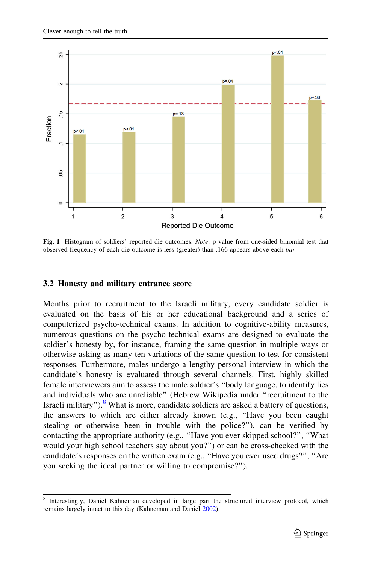<span id="page-6-0"></span>

Fig. 1 Histogram of soldiers' reported die outcomes. Note: p value from one-sided binomial test that observed frequency of each die outcome is less (greater) than .166 appears above each bar

#### 3.2 Honesty and military entrance score

Months prior to recruitment to the Israeli military, every candidate soldier is evaluated on the basis of his or her educational background and a series of computerized psycho-technical exams. In addition to cognitive-ability measures, numerous questions on the psycho-technical exams are designed to evaluate the soldier's honesty by, for instance, framing the same question in multiple ways or otherwise asking as many ten variations of the same question to test for consistent responses. Furthermore, males undergo a lengthy personal interview in which the candidate's honesty is evaluated through several channels. First, highly skilled female interviewers aim to assess the male soldier's ''body language, to identify lies and individuals who are unreliable'' (Hebrew Wikipedia under ''recruitment to the Israeli military").<sup>8</sup> What is more, candidate soldiers are asked a battery of questions, the answers to which are either already known (e.g., ''Have you been caught stealing or otherwise been in trouble with the police?''), can be verified by contacting the appropriate authority (e.g., ''Have you ever skipped school?'', ''What would your high school teachers say about you?'') or can be cross-checked with the candidate's responses on the written exam (e.g., ''Have you ever used drugs?'', ''Are you seeking the ideal partner or willing to compromise?'').

<sup>8</sup> Interestingly, Daniel Kahneman developed in large part the structured interview protocol, which remains largely intact to this day (Kahneman and Daniel [2002](#page-25-0)).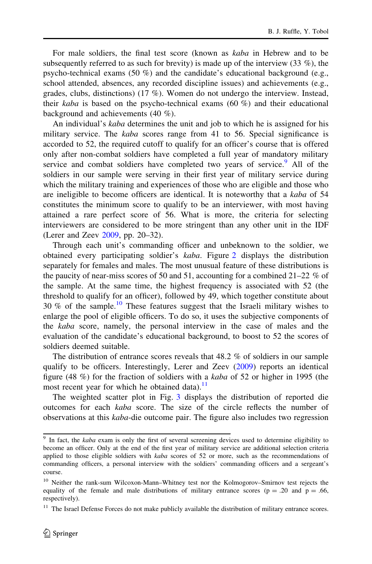For male soldiers, the final test score (known as kaba in Hebrew and to be subsequently referred to as such for brevity) is made up of the interview  $(33 \%)$ , the psycho-technical exams (50 %) and the candidate's educational background (e.g., school attended, absences, any recorded discipline issues) and achievements (e.g., grades, clubs, distinctions) (17 %). Women do not undergo the interview. Instead, their kaba is based on the psycho-technical exams  $(60\%)$  and their educational background and achievements (40 %).

An individual's *kaba* determines the unit and job to which he is assigned for his military service. The kaba scores range from 41 to 56. Special significance is accorded to 52, the required cutoff to qualify for an officer's course that is offered only after non-combat soldiers have completed a full year of mandatory military service and combat soldiers have completed two years of service.<sup>9</sup> All of the soldiers in our sample were serving in their first year of military service during which the military training and experiences of those who are eligible and those who are ineligible to become officers are identical. It is noteworthy that a kaba of 54 constitutes the minimum score to qualify to be an interviewer, with most having attained a rare perfect score of 56. What is more, the criteria for selecting interviewers are considered to be more stringent than any other unit in the IDF (Lerer and Zeev [2009,](#page-25-0) pp. 20–32).

Through each unit's commanding officer and unbeknown to the soldier, we obtained every participating soldier's kaba. Figure [2](#page-8-0) displays the distribution separately for females and males. The most unusual feature of these distributions is the paucity of near-miss scores of 50 and 51, accounting for a combined  $21-22\%$  of the sample. At the same time, the highest frequency is associated with 52 (the threshold to qualify for an officer), followed by 49, which together constitute about 30 % of the sample.<sup>10</sup> These features suggest that the Israeli military wishes to enlarge the pool of eligible officers. To do so, it uses the subjective components of the kaba score, namely, the personal interview in the case of males and the evaluation of the candidate's educational background, to boost to 52 the scores of soldiers deemed suitable.

The distribution of entrance scores reveals that 48.2 % of soldiers in our sample qualify to be officers. Interestingly, Lerer and Zeev [\(2009](#page-25-0)) reports an identical figure (48 %) for the fraction of soldiers with a kaba of 52 or higher in 1995 (the most recent year for which he obtained data). $\frac{11}{11}$ 

The weighted scatter plot in Fig. [3](#page-9-0) displays the distribution of reported die outcomes for each kaba score. The size of the circle reflects the number of observations at this kaba-die outcome pair. The figure also includes two regression

<sup>&</sup>lt;sup>9</sup> In fact, the kaba exam is only the first of several screening devices used to determine eligibility to become an officer. Only at the end of the first year of military service are additional selection criteria applied to those eligible soldiers with *kaba* scores of 52 or more, such as the recommendations of commanding officers, a personal interview with the soldiers' commanding officers and a sergeant's course.

<sup>10</sup> Neither the rank-sum Wilcoxon-Mann–Whitney test nor the Kolmogorov–Smirnov test rejects the equality of the female and male distributions of military entrance scores ( $p = .20$  and  $p = .66$ , respectively).

<sup>&</sup>lt;sup>11</sup> The Israel Defense Forces do not make publicly available the distribution of military entrance scores.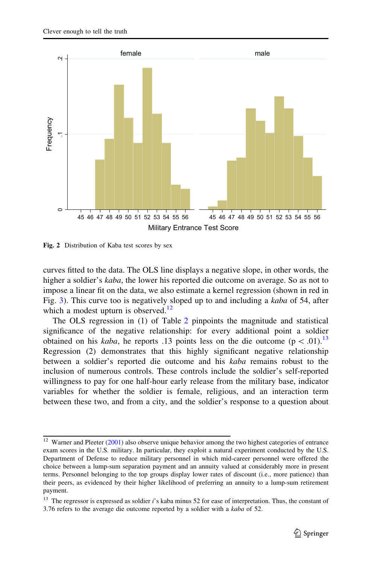<span id="page-8-0"></span>

Fig. 2 Distribution of Kaba test scores by sex

curves fitted to the data. The OLS line displays a negative slope, in other words, the higher a soldier's kaba, the lower his reported die outcome on average. So as not to impose a linear fit on the data, we also estimate a kernel regression (shown in red in Fig. [3](#page-9-0)). This curve too is negatively sloped up to and including a kaba of 54, after which a modest upturn is observed. $^{12}$ 

The OLS regression in (1) of Table [2](#page-10-0) pinpoints the magnitude and statistical significance of the negative relationship: for every additional point a soldier obtained on his kaba, he reports .13 points less on the die outcome ( $p < .01$ ).<sup>13</sup> Regression (2) demonstrates that this highly significant negative relationship between a soldier's reported die outcome and his kaba remains robust to the inclusion of numerous controls. These controls include the soldier's self-reported willingness to pay for one half-hour early release from the military base, indicator variables for whether the soldier is female, religious, and an interaction term between these two, and from a city, and the soldier's response to a question about

 $\frac{12}{12}$  Warner and Pleeter [\(2001](#page-25-0)) also observe unique behavior among the two highest categories of entrance exam scores in the U.S. military. In particular, they exploit a natural experiment conducted by the U.S. Department of Defense to reduce military personnel in which mid-career personnel were offered the choice between a lump-sum separation payment and an annuity valued at considerably more in present terms. Personnel belonging to the top groups display lower rates of discount (i.e., more patience) than their peers, as evidenced by their higher likelihood of preferring an annuity to a lump-sum retirement payment.

 $13$  The regressor is expressed as soldier i's kaba minus 52 for ease of interpretation. Thus, the constant of 3.76 refers to the average die outcome reported by a soldier with a kaba of 52.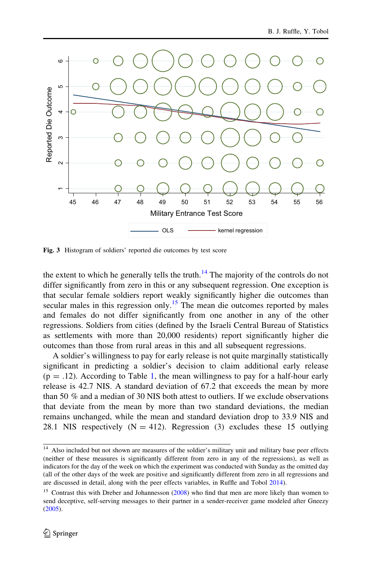<span id="page-9-0"></span>

Fig. 3 Histogram of soldiers' reported die outcomes by test score

the extent to which he generally tells the truth.<sup>14</sup> The majority of the controls do not differ significantly from zero in this or any subsequent regression. One exception is that secular female soldiers report weakly significantly higher die outcomes than secular males in this regression only.<sup>15</sup> The mean die outcomes reported by males and females do not differ significantly from one another in any of the other regressions. Soldiers from cities (defined by the Israeli Central Bureau of Statistics as settlements with more than 20,000 residents) report significantly higher die outcomes than those from rural areas in this and all subsequent regressions.

A soldier's willingness to pay for early release is not quite marginally statistically significant in predicting a soldier's decision to claim additional early release  $(p = .12)$ . According to Table [1,](#page-5-0) the mean willingness to pay for a half-hour early release is 42.7 NIS. A standard deviation of 67.2 that exceeds the mean by more than 50 % and a median of 30 NIS both attest to outliers. If we exclude observations that deviate from the mean by more than two standard deviations, the median remains unchanged, while the mean and standard deviation drop to 33.9 NIS and 28.1 NIS respectively  $(N = 412)$ . Regression (3) excludes these 15 outlying

<sup>&</sup>lt;sup>14</sup> Also included but not shown are measures of the soldier's military unit and military base peer effects (neither of these measures is significantly different from zero in any of the regressions), as well as indicators for the day of the week on which the experiment was conducted with Sunday as the omitted day (all of the other days of the week are positive and significantly different from zero in all regressions and are discussed in detail, along with the peer effects variables, in Ruffle and Tobol [2014](#page-25-0)).

<sup>&</sup>lt;sup>15</sup> Contrast this with Dreber and Johannesson [\(2008](#page-24-0)) who find that men are more likely than women to send deceptive, self-serving messages to their partner in a sender-receiver game modeled after Gneezy ([2005\)](#page-24-0).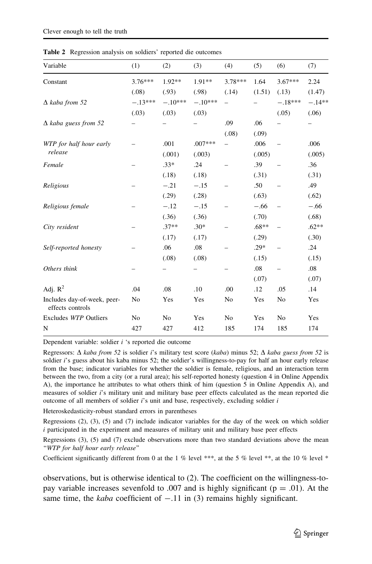| Variable                                        | (1)            | (2)       | (3)       | (4)            | (5)     | (6)       | (7)      |
|-------------------------------------------------|----------------|-----------|-----------|----------------|---------|-----------|----------|
| Constant                                        | $3.76***$      | 1.92**    | 1.91**    | $3.78***$      | 1.64    | $3.67***$ | 2.24     |
|                                                 | (.08)          | (.93)     | (.98)     | (.14)          | (1.51)  | (.13)     | (1.47)   |
| $\Delta$ kaba from 52                           | $-.13***$      | $-.10***$ | $-.10***$ |                |         | $-.18***$ | $-.14**$ |
|                                                 | (.03)          | (.03)     | (.03)     |                |         | (.05)     | (.06)    |
| $\Delta$ kaba guess from 52                     |                |           |           | .09            | .06     |           |          |
|                                                 |                |           |           | (.08)          | (.09)   |           |          |
| WTP for half hour early                         |                | .001      | $.007***$ |                | .006    |           | .006     |
| release                                         |                | (.001)    | (.003)    |                | (.005)  |           | (.005)   |
| Female                                          |                | $.33*$    | .24       |                | .39     |           | .36      |
|                                                 |                | (.18)     | (.18)     |                | (.31)   |           | (.31)    |
| Religious                                       |                | $-.21$    | $-.15$    |                | .50     |           | .49      |
|                                                 |                | (.29)     | (.28)     |                | (.63)   |           | (.62)    |
| Religious female                                |                | $-.12$    | $-.15$    |                | $-.66$  |           | $-.66$   |
|                                                 |                | (.36)     | (.36)     |                | (.70)   |           | (.68)    |
| City resident                                   |                | $.37**$   | $.30*$    |                | $.68**$ |           | $.62**$  |
|                                                 |                | (.17)     | (.17)     |                | (.29)   |           | (.30)    |
| Self-reported honesty                           |                | .06       | .08       |                | $.29*$  |           | .24      |
|                                                 |                | (.08)     | (.08)     |                | (.15)   |           | (.15)    |
| Others think                                    |                |           |           |                | .08     |           | .08      |
|                                                 |                |           |           |                | (.07)   |           | (.07)    |
| Adj. $R^2$                                      | .04            | .08       | .10       | .00            | .12     | .05       | .14      |
| Includes day-of-week, peer-<br>effects controls | No             | Yes       | Yes       | No             | Yes     | No        | Yes      |
| Excludes WTP Outliers                           | N <sub>0</sub> | No        | Yes       | N <sub>o</sub> | Yes     | No        | Yes      |
| N                                               | 427            | 427       | 412       | 185            | 174     | 185       | 174      |

<span id="page-10-0"></span>Table 2 Regression analysis on soldiers' reported die outcomes

Dependent variable: soldier i 's reported die outcome

Regressors:  $\Delta$  kaba from 52 is soldier i's military test score (kaba) minus 52;  $\Delta$  kaba guess from 52 is soldier i's guess about his kaba minus 52; the soldier's willingness-to-pay for half an hour early release from the base; indicator variables for whether the soldier is female, religious, and an interaction term between the two, from a city (or a rural area); his self-reported honesty (question 4 in Online Appendix A), the importance he attributes to what others think of him (question 5 in Online Appendix A), and measures of soldier i's military unit and military base peer effects calculated as the mean reported die outcome of all members of soldier  $i$ 's unit and base, respectively, excluding soldier  $i$ 

Heteroskedasticity-robust standard errors in parentheses

Regressions (2), (3), (5) and (7) include indicator variables for the day of the week on which soldier i participated in the experiment and measures of military unit and military base peer effects

Regressions (3), (5) and (7) exclude observations more than two standard deviations above the mean ''WTP for half hour early release''

Coefficient significantly different from 0 at the 1 % level \*\*\*, at the 5 % level \*\*, at the 10 % level \*

observations, but is otherwise identical to (2). The coefficient on the willingness-topay variable increases sevenfold to .007 and is highly significant ( $p = .01$ ). At the same time, the *kaba* coefficient of  $-.11$  in (3) remains highly significant.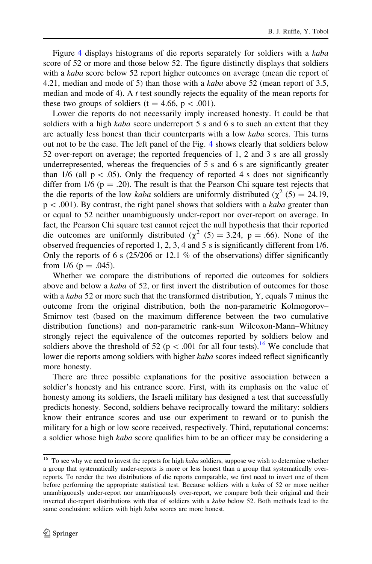Figure [4](#page-12-0) displays histograms of die reports separately for soldiers with a kaba score of 52 or more and those below 52. The figure distinctly displays that soldiers with a kaba score below 52 report higher outcomes on average (mean die report of 4.21, median and mode of 5) than those with a kaba above 52 (mean report of 3.5, median and mode of 4). A  $t$  test soundly rejects the equality of the mean reports for these two groups of soldiers (t = 4.66,  $p < .001$ ).

Lower die reports do not necessarily imply increased honesty. It could be that soldiers with a high *kaba* score underreport 5 s and 6 s to such an extent that they are actually less honest than their counterparts with a low kaba scores. This turns out not to be the case. The left panel of the Fig. [4](#page-12-0) shows clearly that soldiers below 52 over-report on average; the reported frequencies of 1, 2 and 3 s are all grossly underrepresented, whereas the frequencies of 5 s and 6 s are significantly greater than  $1/6$  (all  $p < .05$ ). Only the frequency of reported 4 s does not significantly differ from  $1/6$  ( $p = .20$ ). The result is that the Pearson Chi square test rejects that the die reports of the low *kaba* soldiers are uniformly distributed ( $\gamma^2$  (5) = 24.19,  $p < .001$ ). By contrast, the right panel shows that soldiers with a *kaba* greater than or equal to 52 neither unambiguously under-report nor over-report on average. In fact, the Pearson Chi square test cannot reject the null hypothesis that their reported die outcomes are uniformly distributed  $(\chi^2)(5) = 3.24$ , p = .66). None of the observed frequencies of reported 1, 2, 3, 4 and 5 s is significantly different from 1/6. Only the reports of 6 s (25/206 or 12.1 % of the observations) differ significantly from  $1/6$  ( $p = .045$ ).

Whether we compare the distributions of reported die outcomes for soldiers above and below a kaba of 52, or first invert the distribution of outcomes for those with a  $kaba 52$  or more such that the transformed distribution, Y, equals 7 minus the outcome from the original distribution, both the non-parametric Kolmogorov– Smirnov test (based on the maximum difference between the two cumulative distribution functions) and non-parametric rank-sum Wilcoxon-Mann–Whitney strongly reject the equivalence of the outcomes reported by soldiers below and soldiers above the threshold of 52 ( $p\lt$  0.01 for all four tests).<sup>16</sup> We conclude that lower die reports among soldiers with higher kaba scores indeed reflect significantly more honesty.

There are three possible explanations for the positive association between a soldier's honesty and his entrance score. First, with its emphasis on the value of honesty among its soldiers, the Israeli military has designed a test that successfully predicts honesty. Second, soldiers behave reciprocally toward the military: soldiers know their entrance scores and use our experiment to reward or to punish the military for a high or low score received, respectively. Third, reputational concerns: a soldier whose high kaba score qualifies him to be an officer may be considering a

<sup>&</sup>lt;sup>16</sup> To see why we need to invest the reports for high kaba soldiers, suppose we wish to determine whether a group that systematically under-reports is more or less honest than a group that systematically overreports. To render the two distributions of die reports comparable, we first need to invert one of them before performing the appropriate statistical test. Because soldiers with a kaba of 52 or more neither unambiguously under-report nor unambiguously over-report, we compare both their original and their inverted die-report distributions with that of soldiers with a kaba below 52. Both methods lead to the same conclusion: soldiers with high kaba scores are more honest.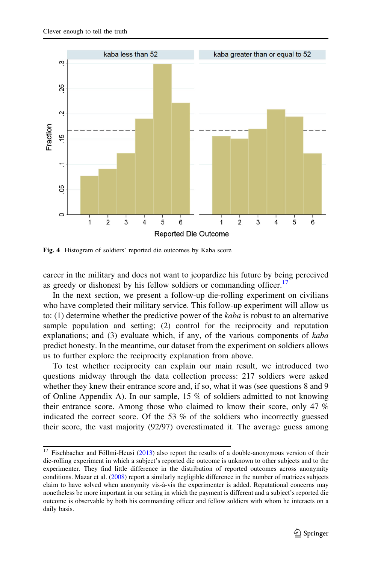<span id="page-12-0"></span>

Fig. 4 Histogram of soldiers' reported die outcomes by Kaba score

career in the military and does not want to jeopardize his future by being perceived as greedy or dishonest by his fellow soldiers or commanding officer.<sup>17</sup>

In the next section, we present a follow-up die-rolling experiment on civilians who have completed their military service. This follow-up experiment will allow us to: (1) determine whether the predictive power of the  $kaba$  is robust to an alternative sample population and setting; (2) control for the reciprocity and reputation explanations; and  $(3)$  evaluate which, if any, of the various components of  $kaba$ predict honesty. In the meantime, our dataset from the experiment on soldiers allows us to further explore the reciprocity explanation from above.

To test whether reciprocity can explain our main result, we introduced two questions midway through the data collection process: 217 soldiers were asked whether they knew their entrance score and, if so, what it was (see questions 8 and 9 of Online Appendix A). In our sample, 15 % of soldiers admitted to not knowing their entrance score. Among those who claimed to know their score, only 47 % indicated the correct score. Of the 53 % of the soldiers who incorrectly guessed their score, the vast majority (92/97) overestimated it. The average guess among

<sup>&</sup>lt;sup>17</sup> Fischbacher and Föllmi-Heusi [\(2013](#page-24-0)) also report the results of a double-anonymous version of their die-rolling experiment in which a subject's reported die outcome is unknown to other subjects and to the experimenter. They find little difference in the distribution of reported outcomes across anonymity conditions. Mazar et al. [\(2008](#page-25-0)) report a similarly negligible difference in the number of matrices subjects claim to have solved when anonymity vis-à-vis the experimenter is added. Reputational concerns may nonetheless be more important in our setting in which the payment is different and a subject's reported die outcome is observable by both his commanding officer and fellow soldiers with whom he interacts on a daily basis.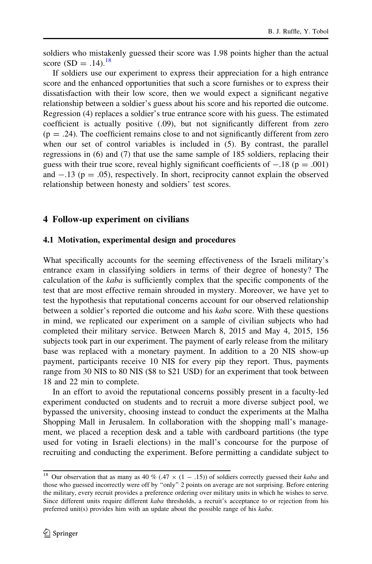<span id="page-13-0"></span>soldiers who mistakenly guessed their score was 1.98 points higher than the actual score (SD = .14).<sup>18</sup>

If soldiers use our experiment to express their appreciation for a high entrance score and the enhanced opportunities that such a score furnishes or to express their dissatisfaction with their low score, then we would expect a significant negative relationship between a soldier's guess about his score and his reported die outcome. Regression (4) replaces a soldier's true entrance score with his guess. The estimated coefficient is actually positive (.09), but not significantly different from zero  $(p = .24)$ . The coefficient remains close to and not significantly different from zero when our set of control variables is included in (5). By contrast, the parallel regressions in (6) and (7) that use the same sample of 185 soldiers, replacing their guess with their true score, reveal highly significant coefficients of  $-.18$  ( $p = .001$ ) and  $-.13$  (p = .05), respectively. In short, reciprocity cannot explain the observed relationship between honesty and soldiers' test scores.

### 4 Follow-up experiment on civilians

### 4.1 Motivation, experimental design and procedures

What specifically accounts for the seeming effectiveness of the Israeli military's entrance exam in classifying soldiers in terms of their degree of honesty? The calculation of the kaba is sufficiently complex that the specific components of the test that are most effective remain shrouded in mystery. Moreover, we have yet to test the hypothesis that reputational concerns account for our observed relationship between a soldier's reported die outcome and his kaba score. With these questions in mind, we replicated our experiment on a sample of civilian subjects who had completed their military service. Between March 8, 2015 and May 4, 2015, 156 subjects took part in our experiment. The payment of early release from the military base was replaced with a monetary payment. In addition to a 20 NIS show-up payment, participants receive 10 NIS for every pip they report. Thus, payments range from 30 NIS to 80 NIS (\$8 to \$21 USD) for an experiment that took between 18 and 22 min to complete.

In an effort to avoid the reputational concerns possibly present in a faculty-led experiment conducted on students and to recruit a more diverse subject pool, we bypassed the university, choosing instead to conduct the experiments at the Malha Shopping Mall in Jerusalem. In collaboration with the shopping mall's management, we placed a reception desk and a table with cardboard partitions (the type used for voting in Israeli elections) in the mall's concourse for the purpose of recruiting and conducting the experiment. Before permitting a candidate subject to

<sup>&</sup>lt;sup>18</sup> Our observation that as many as 40 % (.47  $\times$  (1 - .15)) of soldiers correctly guessed their kaba and those who guessed incorrectly were off by "only" 2 points on average are not surprising. Before entering the military, every recruit provides a preference ordering over military units in which he wishes to serve. Since different units require different *kaba* thresholds, a recruit's acceptance to or rejection from his preferred unit(s) provides him with an update about the possible range of his kaba.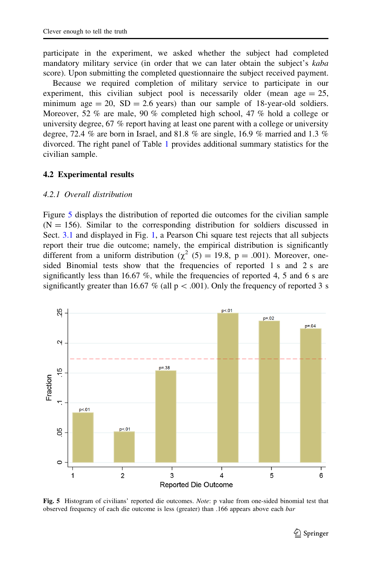participate in the experiment, we asked whether the subject had completed mandatory military service (in order that we can later obtain the subject's kaba score). Upon submitting the completed questionnaire the subject received payment.

Because we required completion of military service to participate in our experiment, this civilian subject pool is necessarily older (mean age  $= 25$ , minimum age  $= 20$ ,  $SD = 2.6$  years) than our sample of 18-year-old soldiers. Moreover, 52 % are male, 90 % completed high school, 47 % hold a college or university degree, 67 % report having at least one parent with a college or university degree, 72.4 % are born in Israel, and 81.8 % are single, 16.9 % married and 1.3 % divorced. The right panel of Table [1](#page-5-0) provides additional summary statistics for the civilian sample.

#### 4.2 Experimental results

#### 4.2.1 Overall distribution

Figure 5 displays the distribution of reported die outcomes for the civilian sample  $(N = 156)$ . Similar to the corresponding distribution for soldiers discussed in Sect. [3.1](#page-4-0) and displayed in Fig. [1,](#page-6-0) a Pearson Chi square test rejects that all subjects report their true die outcome; namely, the empirical distribution is significantly different from a uniform distribution ( $\chi^2$  (5) = 19.8, p = .001). Moreover, onesided Binomial tests show that the frequencies of reported 1 s and 2 s are significantly less than 16.67  $\%$ , while the frequencies of reported 4, 5 and 6 s are significantly greater than 16.67 % (all  $p < .001$ ). Only the frequency of reported 3 s



Fig. 5 Histogram of civilians' reported die outcomes. Note: p value from one-sided binomial test that observed frequency of each die outcome is less (greater) than .166 appears above each bar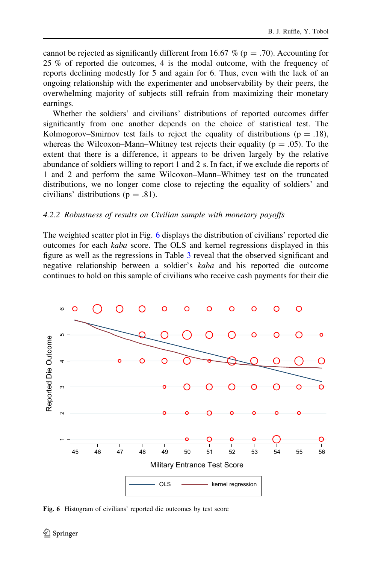cannot be rejected as significantly different from 16.67 % ( $p = .70$ ). Accounting for 25 % of reported die outcomes, 4 is the modal outcome, with the frequency of reports declining modestly for 5 and again for 6. Thus, even with the lack of an ongoing relationship with the experimenter and unobservability by their peers, the overwhelming majority of subjects still refrain from maximizing their monetary earnings.

Whether the soldiers' and civilians' distributions of reported outcomes differ significantly from one another depends on the choice of statistical test. The Kolmogorov–Smirnov test fails to reject the equality of distributions ( $p = .18$ ), whereas the Wilcoxon–Mann–Whitney test rejects their equality ( $p = .05$ ). To the extent that there is a difference, it appears to be driven largely by the relative abundance of soldiers willing to report 1 and 2 s. In fact, if we exclude die reports of 1 and 2 and perform the same Wilcoxon–Mann–Whitney test on the truncated distributions, we no longer come close to rejecting the equality of soldiers' and civilians' distributions ( $p = .81$ ).

#### 4.2.2 Robustness of results on Civilian sample with monetary payoffs

The weighted scatter plot in Fig. 6 displays the distribution of civilians' reported die outcomes for each kaba score. The OLS and kernel regressions displayed in this figure as well as the regressions in Table [3](#page-16-0) reveal that the observed significant and negative relationship between a soldier's *kaba* and his reported die outcome continues to hold on this sample of civilians who receive cash payments for their die



Fig. 6 Histogram of civilians' reported die outcomes by test score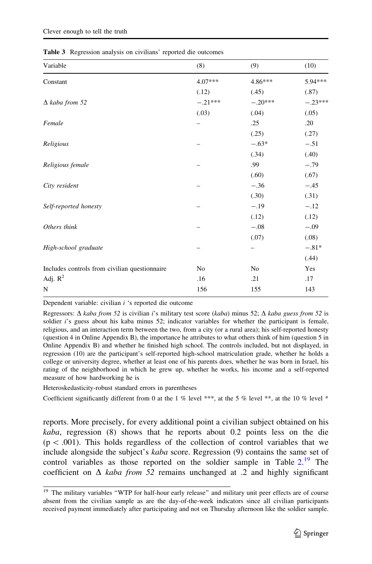<span id="page-16-0"></span>Table 3 Regression analysis on civilians' reported die outcomes

| Variable                                      | (8)       | (9)       | (10)      |
|-----------------------------------------------|-----------|-----------|-----------|
| Constant                                      | $4.07***$ | 4.86***   | 5.94***   |
|                                               | (.12)     | (.45)     | (.87)     |
| $\Delta$ kaba from 52                         | $-.21***$ | $-.20***$ | $-.23***$ |
|                                               | (.03)     | (.04)     | (.05)     |
| Female                                        |           | .25       | .20       |
|                                               |           | (.25)     | (.27)     |
| Religious                                     |           | $-.63*$   | $-.51$    |
|                                               |           | (.34)     | (.40)     |
| Religious female                              |           | .99       | $-.79$    |
|                                               |           | (.60)     | (.67)     |
| City resident                                 |           | $-.36$    | $-.45$    |
|                                               |           | (.30)     | (.31)     |
| Self-reported honesty                         |           | $-.19$    | $-.12$    |
|                                               |           | (.12)     | (.12)     |
| Others think                                  |           | $-.08$    | $-.09$    |
|                                               |           | (.07)     | (.08)     |
| High-school graduate                          |           |           | $-.81*$   |
|                                               |           |           | (.44)     |
| Includes controls from civilian questionnaire | No        | No        | Yes       |
| Adj. $R^2$                                    | .16       | .21       | .17       |
| N                                             | 156       | 155       | 143       |

Dependent variable: civilian  $i$  's reported die outcome

Regressors:  $\Delta$  kaba from 52 is civilian i's military test score (kaba) minus 52;  $\Delta$  kaba guess from 52 is soldier *i*'s guess about his kaba minus 52; indicator variables for whether the participant is female, religious, and an interaction term between the two, from a city (or a rural area); his self-reported honesty (question 4 in Online Appendix B), the importance he attributes to what others think of him (question 5 in Online Appendix B) and whether he finished high school. The controls included, but not displayed, in regression (10) are the participant's self-reported high-school matriculation grade, whether he holds a college or university degree, whether at least one of his parents does, whether he was born in Israel, his rating of the neighborhood in which he grew up, whether he works, his income and a self-reported measure of how hardworking he is

Heteroskedasticity-robust standard errors in parentheses Coefficient significantly different from 0 at the 1 % level \*\*\*, at the 5 % level \*\*, at the 10 % level \*

reports. More precisely, for every additional point a civilian subject obtained on his kaba, regression (8) shows that he reports about 0.2 points less on the die  $(p\lt 0.01)$ . This holds regardless of the collection of control variables that we include alongside the subject's kaba score. Regression (9) contains the same set of control variables as those reported on the soldier sample in Table  $2^{19}$ . The coefficient on  $\Delta$  kaba from 52 remains unchanged at .2 and highly significant

<sup>&</sup>lt;sup>19</sup> The military variables "WTP for half-hour early release" and military unit peer effects are of course absent from the civilian sample as are the day-of-the-week indicators since all civilian participants received payment immediately after participating and not on Thursday afternoon like the soldier sample.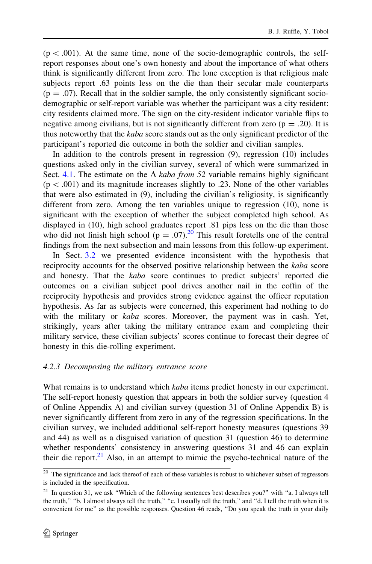$(p\lt 0.001)$ . At the same time, none of the socio-demographic controls, the selfreport responses about one's own honesty and about the importance of what others think is significantly different from zero. The lone exception is that religious male subjects report .63 points less on the die than their secular male counterparts  $(p = .07)$ . Recall that in the soldier sample, the only consistently significant sociodemographic or self-report variable was whether the participant was a city resident: city residents claimed more. The sign on the city-resident indicator variable flips to negative among civilians, but is not significantly different from zero ( $p = .20$ ). It is thus noteworthy that the kaba score stands out as the only significant predictor of the participant's reported die outcome in both the soldier and civilian samples.

In addition to the controls present in regression (9), regression (10) includes questions asked only in the civilian survey, several of which were summarized in Sect. [4.1.](#page-13-0) The estimate on the  $\Delta$  *kaba from 52* variable remains highly significant  $(p\lt .001)$  and its magnitude increases slightly to .23. None of the other variables that were also estimated in (9), including the civilian's religiosity, is significantly different from zero. Among the ten variables unique to regression (10), none is significant with the exception of whether the subject completed high school. As displayed in (10), high school graduates report .81 pips less on the die than those who did not finish high school ( $p = .07$ ).<sup>20</sup> This result foretells one of the central findings from the next subsection and main lessons from this follow-up experiment.

In Sect. [3.2](#page-6-0) we presented evidence inconsistent with the hypothesis that reciprocity accounts for the observed positive relationship between the kaba score and honesty. That the kaba score continues to predict subjects' reported die outcomes on a civilian subject pool drives another nail in the coffin of the reciprocity hypothesis and provides strong evidence against the officer reputation hypothesis. As far as subjects were concerned, this experiment had nothing to do with the military or kaba scores. Moreover, the payment was in cash. Yet, strikingly, years after taking the military entrance exam and completing their military service, these civilian subjects' scores continue to forecast their degree of honesty in this die-rolling experiment.

### 4.2.3 Decomposing the military entrance score

What remains is to understand which *kaba* items predict honesty in our experiment. The self-report honesty question that appears in both the soldier survey (question 4 of Online Appendix A) and civilian survey (question 31 of Online Appendix B) is never significantly different from zero in any of the regression specifications. In the civilian survey, we included additional self-report honesty measures (questions 39 and 44) as well as a disguised variation of question 31 (question 46) to determine whether respondents' consistency in answering questions 31 and 46 can explain their die report. $21$  Also, in an attempt to mimic the psycho-technical nature of the

<sup>&</sup>lt;sup>20</sup> The significance and lack thereof of each of these variables is robust to whichever subset of regressors is included in the specification.

<sup>&</sup>lt;sup>21</sup> In question 31, we ask "Which of the following sentences best describes you?" with "a. I always tell the truth," "b. I almost always tell the truth," "c. I usually tell the truth," and "d. I tell the truth when it is convenient for me'' as the possible responses. Question 46 reads, ''Do you speak the truth in your daily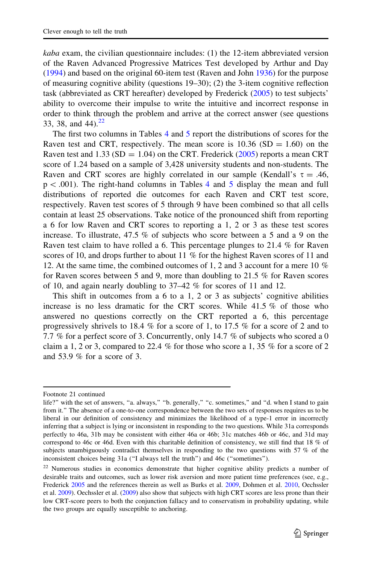kaba exam, the civilian questionnaire includes: (1) the 12-item abbreviated version of the Raven Advanced Progressive Matrices Test developed by Arthur and Day [\(1994](#page-24-0)) and based on the original 60-item test (Raven and John [1936](#page-25-0)) for the purpose of measuring cognitive ability (questions 19–30); (2) the 3-item cognitive reflection task (abbreviated as CRT hereafter) developed by Frederick [\(2005](#page-24-0)) to test subjects' ability to overcome their impulse to write the intuitive and incorrect response in order to think through the problem and arrive at the correct answer (see questions 33, 38, and 44).  $^{22}$ 

The first two columns in Tables [4](#page-19-0) and [5](#page-19-0) report the distributions of scores for the Raven test and CRT, respectively. The mean score is  $10.36$  (SD = 1.60) on the Raven test and 1.33 (SD = 1.04) on the CRT. Frederick ([2005\)](#page-24-0) reports a mean CRT score of 1.24 based on a sample of 3,428 university students and non-students. The Raven and CRT scores are highly correlated in our sample (Kendall's  $\tau = .46$ ,  $p$  < .001). The right-hand columns in Tables [4](#page-19-0) and [5](#page-19-0) display the mean and full distributions of reported die outcomes for each Raven and CRT test score, respectively. Raven test scores of 5 through 9 have been combined so that all cells contain at least 25 observations. Take notice of the pronounced shift from reporting a 6 for low Raven and CRT scores to reporting a 1, 2 or 3 as these test scores increase. To illustrate, 47.5 % of subjects who score between a 5 and a 9 on the Raven test claim to have rolled a 6. This percentage plunges to 21.4 % for Raven scores of 10, and drops further to about 11 % for the highest Raven scores of 11 and 12. At the same time, the combined outcomes of 1, 2 and 3 account for a mere 10 % for Raven scores between 5 and 9, more than doubling to 21.5 % for Raven scores of 10, and again nearly doubling to 37–42 % for scores of 11 and 12.

This shift in outcomes from a 6 to a 1, 2 or 3 as subjects' cognitive abilities increase is no less dramatic for the CRT scores. While 41.5 % of those who answered no questions correctly on the CRT reported a 6, this percentage progressively shrivels to 18.4 % for a score of 1, to 17.5 % for a score of 2 and to 7.7 % for a perfect score of 3. Concurrently, only 14.7 % of subjects who scored a 0 claim a 1, 2 or 3, compared to 22.4 % for those who score a 1, 35 % for a score of 2 and 53.9 % for a score of 3.

Footnote 21 continued

life?" with the set of answers, "a. always," "b. generally," "c. sometimes," and "d. when I stand to gain from it.'' The absence of a one-to-one correspondence between the two sets of responses requires us to be liberal in our definition of consistency and minimizes the likelihood of a type-1 error in incorrectly inferring that a subject is lying or inconsistent in responding to the two questions. While 31a corresponds perfectly to 46a, 31b may be consistent with either 46a or 46b; 31c matches 46b or 46c, and 31d may correspond to 46c or 46d. Even with this charitable definition of consistency, we still find that 18 % of subjects unambiguously contradict themselves in responding to the two questions with 57 % of the inconsistent choices being 31a (''I always tell the truth'') and 46c (''sometimes'').

<sup>&</sup>lt;sup>22</sup> Numerous studies in economics demonstrate that higher cognitive ability predicts a number of desirable traits and outcomes, such as lower risk aversion and more patient time preferences (see, e.g., Frederick [2005](#page-24-0) and the references therein as well as Burks et al. [2009](#page-24-0), Dohmen et al. [2010](#page-24-0), Oechssler et al. [2009](#page-25-0)). Oechssler et al. ([2009\)](#page-25-0) also show that subjects with high CRT scores are less prone than their low CRT-score peers to both the conjunction fallacy and to conservatism in probability updating, while the two groups are equally susceptible to anchoring.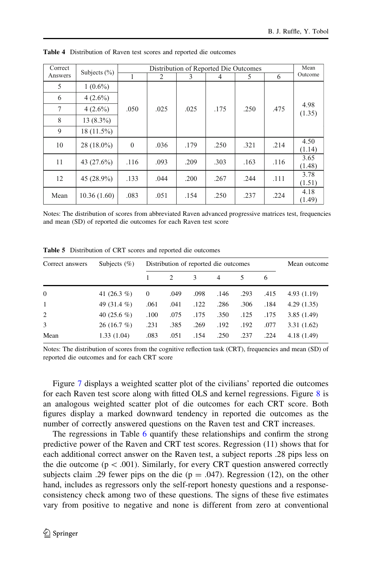| Correct | Subjects $(\% )$ | Distribution of Reported Die Outcomes |      |      |      |      |      | Mean           |
|---------|------------------|---------------------------------------|------|------|------|------|------|----------------|
| Answers |                  |                                       | 2    | 3    | 4    | 5    | 6    | Outcome        |
| 5       | $1(0.6\%)$       |                                       |      |      |      |      |      |                |
| 6       | $4(2.6\%)$       |                                       |      |      |      |      |      |                |
| $\tau$  | $4(2.6\%)$       | .050                                  | .025 | .025 | .175 | .250 | .475 | 4.98<br>(1.35) |
| 8       | $13(8.3\%)$      |                                       |      |      |      |      |      |                |
| 9       | $18(11.5\%)$     |                                       |      |      |      |      |      |                |
| 10      | $28(18.0\%)$     | $\mathbf{0}$                          | .036 | .179 | .250 | .321 | .214 | 4.50           |
|         |                  |                                       |      |      |      |      |      | (1.14)         |
| 11      | 43 $(27.6\%)$    | .116                                  | .093 | .209 | .303 | .163 | .116 | 3.65<br>(1.48) |
|         |                  |                                       |      |      |      |      |      | 3.78           |
| 12      | $45(28.9\%)$     | .133                                  | .044 | .200 | .267 | .244 | .111 | (1.51)         |
| Mean    | 10.36(1.60)      | .083                                  | .051 | .154 | .250 | .237 | .224 | 4.18           |
|         |                  |                                       |      |      |      |      |      | (1.49)         |

<span id="page-19-0"></span>Table 4 Distribution of Raven test scores and reported die outcomes

Notes: The distribution of scores from abbreviated Raven advanced progressive matrices test, frequencies and mean (SD) of reported die outcomes for each Raven test score

| Correct answers | Subjects $(\%)$ | Distribution of reported die outcomes |                               |      |                |      |      | Mean outcome |
|-----------------|-----------------|---------------------------------------|-------------------------------|------|----------------|------|------|--------------|
|                 |                 |                                       | $\mathfrak{D}_{\mathfrak{p}}$ | 3    | $\overline{4}$ |      | 6    |              |
| $\Omega$        | 41 $(26.3\%$    | $\mathbf{0}$                          | .049                          | .098 | .146           | .293 | .415 | 4.93(1.19)   |
| $\mathbf{1}$    | 49 (31.4 %)     | .061                                  | .041                          | .122 | .286           | .306 | .184 | 4.29(1.35)   |
| $\overline{2}$  | 40 $(25.6\%)$   | .100                                  | .075                          | .175 | .350           | .125 | .175 | 3.85(1.49)   |
| 3               | 26(16.7%)       | .231                                  | .385                          | .269 | .192           | .192 | .077 | 3.31(1.62)   |
| Mean            | 1.33(1.04)      | .083                                  | .051                          | .154 | .250           | .237 | .224 | 4.18 (1.49)  |

Table 5 Distribution of CRT scores and reported die outcomes

Notes: The distribution of scores from the cognitive reflection task (CRT), frequencies and mean (SD) of reported die outcomes and for each CRT score

Figure [7](#page-20-0) displays a weighted scatter plot of the civilians' reported die outcomes for each Raven test score along with fitted OLS and kernel regressions. Figure [8](#page-21-0) is an analogous weighted scatter plot of die outcomes for each CRT score. Both figures display a marked downward tendency in reported die outcomes as the number of correctly answered questions on the Raven test and CRT increases.

The regressions in Table [6](#page-22-0) quantify these relationships and confirm the strong predictive power of the Raven and CRT test scores. Regression (11) shows that for each additional correct answer on the Raven test, a subject reports .28 pips less on the die outcome  $(p < .001)$ . Similarly, for every CRT question answered correctly subjects claim .29 fewer pips on the die  $(p = .047)$ . Regression (12), on the other hand, includes as regressors only the self-report honesty questions and a responseconsistency check among two of these questions. The signs of these five estimates vary from positive to negative and none is different from zero at conventional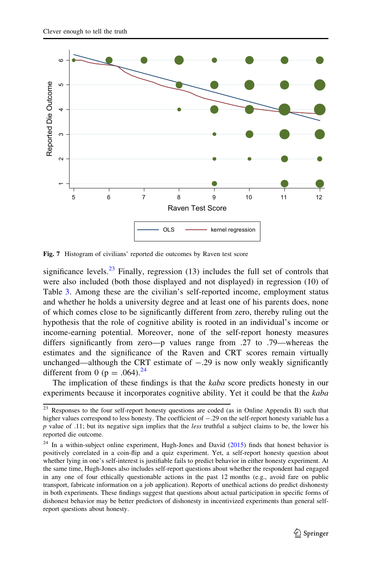<span id="page-20-0"></span>

Fig. 7 Histogram of civilians' reported die outcomes by Raven test score

significance levels.<sup>23</sup> Finally, regression  $(13)$  includes the full set of controls that were also included (both those displayed and not displayed) in regression (10) of Table [3](#page-16-0). Among these are the civilian's self-reported income, employment status and whether he holds a university degree and at least one of his parents does, none of which comes close to be significantly different from zero, thereby ruling out the hypothesis that the role of cognitive ability is rooted in an individual's income or income-earning potential. Moreover, none of the self-report honesty measures differs significantly from zero—p values range from .27 to .79—whereas the estimates and the significance of the Raven and CRT scores remain virtually unchanged—although the CRT estimate of  $-.29$  is now only weakly significantly different from 0 ( $p = .064$ ).<sup>24</sup>

The implication of these findings is that the *kaba* score predicts honesty in our experiments because it incorporates cognitive ability. Yet it could be that the kaba

<sup>&</sup>lt;sup>23</sup> Responses to the four self-report honesty questions are coded (as in Online Appendix B) such that higher values correspond to less honesty. The coefficient of -.29 on the self-report honesty variable has a  $p$  value of .11; but its negative sign implies that the *less* truthful a subject claims to be, the lower his reported die outcome.

 $24$  In a within-subject online experiment, Hugh-Jones and David [\(2015](#page-24-0)) finds that honest behavior is positively correlated in a coin-flip and a quiz experiment. Yet, a self-report honesty question about whether lying in one's self-interest is justifiable fails to predict behavior in either honesty experiment. At the same time, Hugh-Jones also includes self-report questions about whether the respondent had engaged in any one of four ethically questionable actions in the past 12 months (e.g., avoid fare on public transport, fabricate information on a job application). Reports of unethical actions do predict dishonesty in both experiments. These findings suggest that questions about actual participation in specific forms of dishonest behavior may be better predictors of dishonesty in incentivized experiments than general selfreport questions about honesty.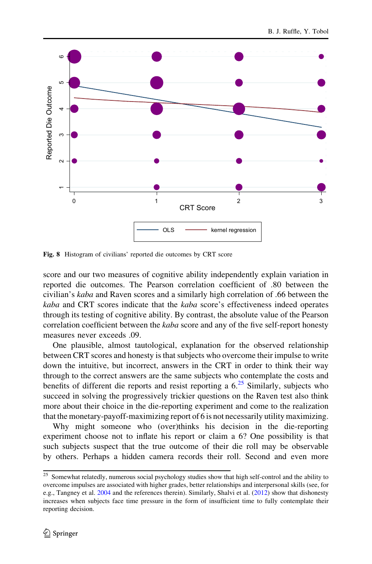<span id="page-21-0"></span>

Fig. 8 Histogram of civilians' reported die outcomes by CRT score

score and our two measures of cognitive ability independently explain variation in reported die outcomes. The Pearson correlation coefficient of .80 between the civilian's kaba and Raven scores and a similarly high correlation of .66 between the kaba and CRT scores indicate that the kaba score's effectiveness indeed operates through its testing of cognitive ability. By contrast, the absolute value of the Pearson correlation coefficient between the *kaba* score and any of the five self-report honesty measures never exceeds .09.

One plausible, almost tautological, explanation for the observed relationship between CRT scores and honesty is that subjects who overcome their impulse to write down the intuitive, but incorrect, answers in the CRT in order to think their way through to the correct answers are the same subjects who contemplate the costs and benefits of different die reports and resist reporting a  $6<sup>25</sup>$  Similarly, subjects who succeed in solving the progressively trickier questions on the Raven test also think more about their choice in the die-reporting experiment and come to the realization that the monetary-payoff-maximizing report of 6 is not necessarily utility maximizing.

Why might someone who (over)thinks his decision in the die-reporting experiment choose not to inflate his report or claim a 6? One possibility is that such subjects suspect that the true outcome of their die roll may be observable by others. Perhaps a hidden camera records their roll. Second and even more

<sup>&</sup>lt;sup>25</sup> Somewhat relatedly, numerous social psychology studies show that high self-control and the ability to overcome impulses are associated with higher grades, better relationships and interpersonal skills (see, for e.g., Tangney et al. [2004](#page-25-0) and the references therein). Similarly, Shalvi et al. [\(2012](#page-25-0)) show that dishonesty increases when subjects face time pressure in the form of insufficient time to fully contemplate their reporting decision.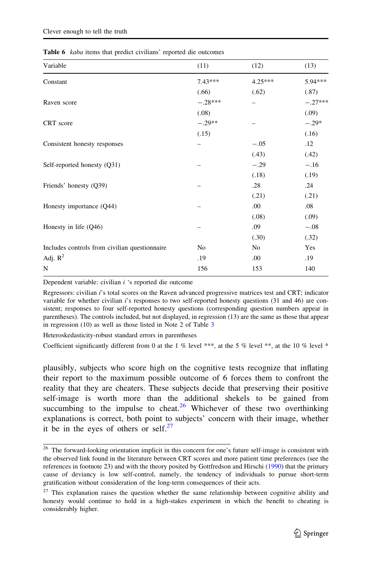<span id="page-22-0"></span>Table 6 kaba items that predict civilians' reported die outcomes

| Variable                                      | (11)      | (12)      | (13)      |
|-----------------------------------------------|-----------|-----------|-----------|
| Constant                                      | $7.43***$ | $4.25***$ | 5.94***   |
|                                               | (.66)     | (.62)     | (.87)     |
| Raven score                                   | $-.28***$ |           | $-.27***$ |
|                                               | (.08)     |           | (.09)     |
| CRT score                                     | $-.29**$  |           | $-.29*$   |
|                                               | (.15)     |           | (.16)     |
| Consistent honesty responses                  |           | $-.05$    | .12       |
|                                               |           | (.43)     | (.42)     |
| Self-reported honesty (Q31)                   |           | $-.29$    | $-.16$    |
|                                               |           | (.18)     | (.19)     |
| Friends' honesty (Q39)                        |           | .28       | .24       |
|                                               |           | (.21)     | (.21)     |
| Honesty importance (Q44)                      |           | .00       | .08       |
|                                               |           | (.08)     | (.09)     |
| Honesty in life (Q46)                         |           | .09       | $-.08$    |
|                                               |           | (.30)     | (.32)     |
| Includes controls from civilian questionnaire | No        | No        | Yes       |
| Adj. $\mathbb{R}^2$                           | .19       | .00       | .19       |
| N                                             | 156       | 153       | 140       |

Dependent variable: civilian  $i$  's reported die outcome

Regressors: civilian i's total scores on the Raven advanced progressive matrices test and CRT; indicator variable for whether civilian i's responses to two self-reported honesty questions (31 and 46) are consistent; responses to four self-reported honesty questions (corresponding question numbers appear in parentheses). The controls included, but not displayed, in regression (13) are the same as those that appear in regression (10) as well as those listed in Note 2 of Table [3](#page-16-0)

Heteroskedasticity-robust standard errors in parentheses

Coefficient significantly different from 0 at the 1 % level \*\*\*, at the 5 % level \*\*, at the 10 % level \*

plausibly, subjects who score high on the cognitive tests recognize that inflating their report to the maximum possible outcome of 6 forces them to confront the reality that they are cheaters. These subjects decide that preserving their positive self-image is worth more than the additional shekels to be gained from succumbing to the impulse to cheat.<sup>26</sup> Whichever of these two overthinking explanations is correct, both point to subjects' concern with their image, whether it be in the eyes of others or self. $27$ 

<sup>&</sup>lt;sup>26</sup> The forward-looking orientation implicit in this concern for one's future self-image is consistent with the observed link found in the literature between CRT scores and more patient time preferences (see the references in footnote 23) and with the theory posited by Gottfredson and Hirschi ([1990](#page-24-0)) that the primary cause of deviancy is low self-control, namely, the tendency of individuals to pursue short-term gratification without consideration of the long-term consequences of their acts.

<sup>&</sup>lt;sup>27</sup> This explanation raises the question whether the same relationship between cognitive ability and honesty would continue to hold in a high-stakes experiment in which the benefit to cheating is considerably higher.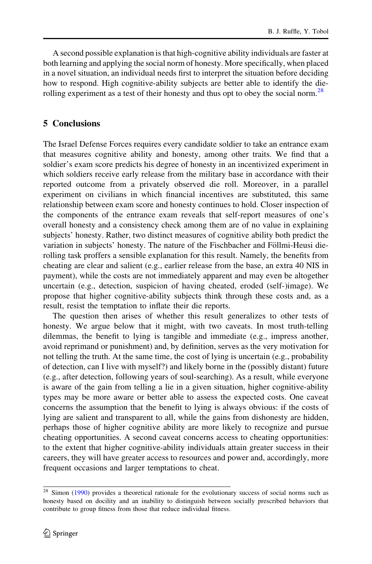A second possible explanation is that high-cognitive ability individuals are faster at both learning and applying the social norm of honesty. More specifically, when placed in a novel situation, an individual needs first to interpret the situation before deciding how to respond. High cognitive-ability subjects are better able to identify the dierolling experiment as a test of their honesty and thus opt to obey the social norm.<sup>28</sup>

## 5 Conclusions

The Israel Defense Forces requires every candidate soldier to take an entrance exam that measures cognitive ability and honesty, among other traits. We find that a soldier's exam score predicts his degree of honesty in an incentivized experiment in which soldiers receive early release from the military base in accordance with their reported outcome from a privately observed die roll. Moreover, in a parallel experiment on civilians in which financial incentives are substituted, this same relationship between exam score and honesty continues to hold. Closer inspection of the components of the entrance exam reveals that self-report measures of one's overall honesty and a consistency check among them are of no value in explaining subjects' honesty. Rather, two distinct measures of cognitive ability both predict the variation in subjects' honesty. The nature of the Fischbacher and Föllmi-Heusi dierolling task proffers a sensible explanation for this result. Namely, the benefits from cheating are clear and salient (e.g., earlier release from the base, an extra 40 NIS in payment), while the costs are not immediately apparent and may even be altogether uncertain (e.g., detection, suspicion of having cheated, eroded (self-)image). We propose that higher cognitive-ability subjects think through these costs and, as a result, resist the temptation to inflate their die reports.

The question then arises of whether this result generalizes to other tests of honesty. We argue below that it might, with two caveats. In most truth-telling dilemmas, the benefit to lying is tangible and immediate (e.g., impress another, avoid reprimand or punishment) and, by definition, serves as the very motivation for not telling the truth. At the same time, the cost of lying is uncertain (e.g., probability of detection, can I live with myself?) and likely borne in the (possibly distant) future (e.g., after detection, following years of soul-searching). As a result, while everyone is aware of the gain from telling a lie in a given situation, higher cognitive-ability types may be more aware or better able to assess the expected costs. One caveat concerns the assumption that the benefit to lying is always obvious: if the costs of lying are salient and transparent to all, while the gains from dishonesty are hidden, perhaps those of higher cognitive ability are more likely to recognize and pursue cheating opportunities. A second caveat concerns access to cheating opportunities: to the extent that higher cognitive-ability individuals attain greater success in their careers, they will have greater access to resources and power and, accordingly, more frequent occasions and larger temptations to cheat.

 $28$  Simon [\(1990](#page-25-0)) provides a theoretical rationale for the evolutionary success of social norms such as honesty based on docility and an inability to distinguish between socially prescribed behaviors that contribute to group fitness from those that reduce individual fitness.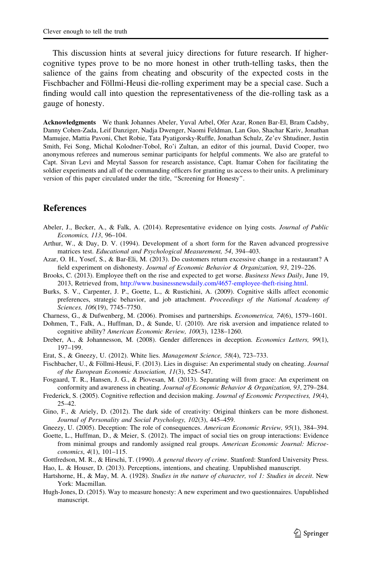<span id="page-24-0"></span>This discussion hints at several juicy directions for future research. If highercognitive types prove to be no more honest in other truth-telling tasks, then the salience of the gains from cheating and obscurity of the expected costs in the Fischbacher and Föllmi-Heusi die-rolling experiment may be a special case. Such a finding would call into question the representativeness of the die-rolling task as a gauge of honesty.

Acknowledgments We thank Johannes Abeler, Yuval Arbel, Ofer Azar, Ronen Bar-El, Bram Cadsby, Danny Cohen-Zada, Leif Danziger, Nadja Dwenger, Naomi Feldman, Lan Guo, Shachar Kariv, Jonathan Mamujee, Mattia Pavoni, Chet Robie, Tata Pyatigorsky-Ruffle, Jonathan Schulz, Ze'ev Shtudiner, Justin Smith, Fei Song, Michal Kolodner-Tobol, Ro'i Zultan, an editor of this journal, David Cooper, two anonymous referees and numerous seminar participants for helpful comments. We also are grateful to Capt. Sivan Levi and Meytal Sasson for research assistance, Capt. Itamar Cohen for facilitating the soldier experiments and all of the commanding officers for granting us access to their units. A preliminary version of this paper circulated under the title, ''Screening for Honesty''.

### References

- Abeler, J., Becker, A., & Falk, A. (2014). Representative evidence on lying costs. Journal of Public Economics, 113, 96–104.
- Arthur, W., & Day, D. V. (1994). Development of a short form for the Raven advanced progressive matrices test. Educational and Psychological Measurement, 54, 394–403.
- Azar, O. H., Yosef, S., & Bar-Eli, M. (2013). Do customers return excessive change in a restaurant? A field experiment on dishonesty. Journal of Economic Behavior & Organization, 93, 219–226.
- Brooks, C. (2013). Employee theft on the rise and expected to get worse. Business News Daily, June 19, 2013, Retrieved from, <http://www.businessnewsdaily.com/4657-employee-theft-rising.html>.
- Burks, S. V., Carpenter, J. P., Goette, L., & Rustichini, A. (2009). Cognitive skills affect economic preferences, strategic behavior, and job attachment. Proceedings of the National Academy of Sciences, 106(19), 7745–7750.
- Charness, G., & Dufwenberg, M. (2006). Promises and partnerships. Econometrica, 74(6), 1579–1601.
- Dohmen, T., Falk, A., Huffman, D., & Sunde, U. (2010). Are risk aversion and impatience related to cognitive ability? American Economic Review, 100(3), 1238–1260.
- Dreber, A., & Johannesson, M. (2008). Gender differences in deception. Economics Letters, 99(1), 197–199.
- Erat, S., & Gneezy, U. (2012). White lies. Management Science, 58(4), 723–733.
- Fischbacher, U., & Föllmi-Heusi, F. (2013). Lies in disguise: An experimental study on cheating. Journal of the European Economic Association, 11(3), 525–547.
- Fosgaard, T. R., Hansen, J. G., & Piovesan, M. (2013). Separating will from grace: An experiment on conformity and awareness in cheating. Journal of Economic Behavior & Organization, 93, 279–284.
- Frederick, S. (2005). Cognitive reflection and decision making. Journal of Economic Perspectives, 19(4), 25–42.
- Gino, F., & Ariely, D. (2012). The dark side of creativity: Original thinkers can be more dishonest. Journal of Personality and Social Psychology, 102(3), 445–459.
- Gneezy, U. (2005). Deception: The role of consequences. American Economic Review, 95(1), 384–394.
- Goette, L., Huffman, D., & Meier, S. (2012). The impact of social ties on group interactions: Evidence from minimal groups and randomly assigned real groups. American Economic Journal: Microeconomics, 4(1), 101–115.
- Gottfredson, M. R., & Hirschi, T. (1990). A general theory of crime. Stanford: Stanford University Press.

Hao, L. & Houser, D. (2013). Perceptions, intentions, and cheating. Unpublished manuscript.

- Hartshorne, H., & May, M. A. (1928). Studies in the nature of character, vol 1: Studies in deceit. New York: Macmillan.
- Hugh-Jones, D. (2015). Way to measure honesty: A new experiment and two questionnaires. Unpublished manuscript.